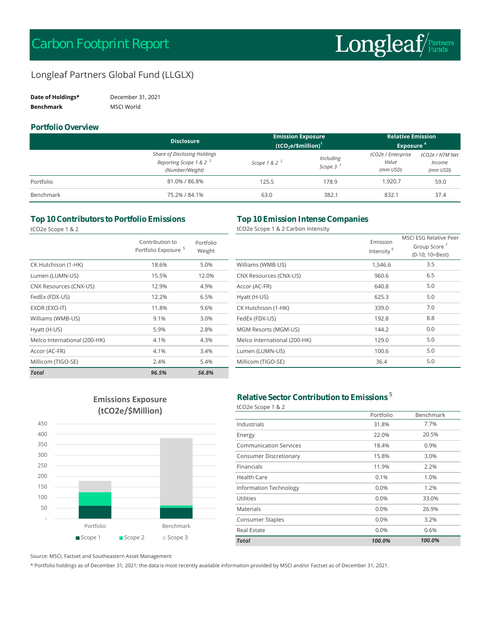# Longleaf Partners Global Fund (LLGLX)

| Date of Holdings* | December 31, 2021 |
|-------------------|-------------------|
| <b>Benchmark</b>  | MSCI World        |

#### **Portfolio Overview**

|           | <b>Disclosure</b>                                                                            | <b>Emission Exposure</b> |                                   | <b>Relative Emission</b>                  |                                       |
|-----------|----------------------------------------------------------------------------------------------|--------------------------|-----------------------------------|-------------------------------------------|---------------------------------------|
|           |                                                                                              | $(tCO2e/\$million)1$     |                                   | Exposure <sup>4</sup>                     |                                       |
|           | <b>Share of Disclosing Holdings</b><br>Reporting Scope 1 & 2 <sup>2</sup><br>(Number/Weight) | Scope 1 & 2 $^2$         | Including<br>Scope 3 <sup>3</sup> | tCO2e / Enterprise<br>Value<br>$(mm$ USD) | tCO2e / NTM Net<br>Income<br>(mm USD) |
| Portfolio | 81.0% / 86.8%                                                                                | 125.5                    | 178.9                             | 1.920.7                                   | 59.0                                  |
| Benchmark | 75.2% / 84.1%                                                                                | 63.0                     | 382.1                             | 832.1                                     | 37.4                                  |

### **Top 10 Contributors to Portfolio Emissions Top 10 Emission Intense Companies**

tCO2e Scope 1 & 2

|  |  |  |  |  | CO2e Scope 1 & 2 Carbon Intensity: |
|--|--|--|--|--|------------------------------------|
|--|--|--|--|--|------------------------------------|

|                              | Contribution to<br>Portfolio Exposure <sup>5</sup> | Portfolio<br>Weight |                              | Emission<br>Intensity |
|------------------------------|----------------------------------------------------|---------------------|------------------------------|-----------------------|
| CK Hutchison (1-HK)          | 18.6%                                              | 5.0%                | Williams (WMB-US)            | 1,546.6               |
| Lumen (LUMN-US)              | 15.5%                                              | 12.0%               | CNX Resources (CNX-US)       | 960.6                 |
| CNX Resources (CNX-US)       | 12.9%                                              | 4.9%                | Accor (AC-FR)                | 640.8                 |
| FedEx (FDX-US)               | 12.2%                                              | 6.5%                | Hyatt (H-US)                 | 625.3                 |
| EXOR (EXO-IT)                | 11.8%                                              | 9.6%                | CK Hutchison (1-HK)          | 339.0                 |
| Williams (WMB-US)            | 9.1%                                               | 3.0%                | FedEx (FDX-US)               | 192.8                 |
| Hyatt (H-US)                 | 5.9%                                               | 2.8%                | MGM Resorts (MGM-US)         | 144.2                 |
| Melco International (200-HK) | 4.1%                                               | 4.3%                | Melco International (200-HK) | 129.0                 |
| Accor (AC-FR)                | 4.1%                                               | 3.4%                | Lumen (LUMN-US)              | 100.6                 |
| Millicom (TIGO-SE)           | 2.4%                                               | 5.4%                | Millicom (TIGO-SE)           | 36.4                  |
| <b>Total</b>                 | 96.5%                                              | 56.8%               |                              |                       |

|                              | Emission<br>Intensity <sup>6</sup> | <b>MSCLESG Relative Peer</b><br>Group Score <sup>7</sup><br>(0-10; 10=Best) |
|------------------------------|------------------------------------|-----------------------------------------------------------------------------|
| Williams (WMB-US)            | 1,546.6                            | 3.5                                                                         |
| CNX Resources (CNX-US)       | 960.6                              | 6.5                                                                         |
| Accor (AC-FR)                | 640.8                              | 5.0                                                                         |
| Hyatt (H-US)                 | 625.3                              | 5.0                                                                         |
| CK Hutchison (1-HK)          | 339.0                              | 7.0                                                                         |
| FedEx (FDX-US)               | 192.8                              | 8.8                                                                         |
| MGM Resorts (MGM-US)         | 144.2                              | 0.0                                                                         |
| Melco International (200-HK) | 129.0                              | 5.0                                                                         |
| Lumen (LUMN-US)              | 100.6                              | 5.0                                                                         |
| Millicom (TIGO-SE)           | 36.4                               | 5.0                                                                         |

## **Emissions Exposure (tCO2e/\$Million)**



#### **Relative Sector Contribution to Emissions** <sup>5</sup> tCO2e Scope 1 & 2

|                               | Portfolio | Benchmark |
|-------------------------------|-----------|-----------|
| Industrials                   | 31.8%     | 7.7%      |
| Energy                        | 22.0%     | 20.5%     |
| <b>Communication Services</b> | 18.4%     | 0.9%      |
| <b>Consumer Discretionary</b> | 15.8%     | 3.0%      |
| Financials                    | 11.9%     | 2.2%      |
| Health Care                   | 0.1%      | 1.0%      |
| Information Technology        | 0.0%      | 1.2%      |
| Utilities                     | 0.0%      | 33.0%     |
| Materials                     | 0.0%      | 26.9%     |
| Consumer Staples              | 0.0%      | 3.2%      |
| <b>Real Estate</b>            | 0.0%      | 0.6%      |
| <b>Total</b>                  | 100.0%    | 100.0%    |

Source: MSCI, Factset and Southeastern Asset Management

\* Portfolio holdings as of December 31, 2021; the data is most recently available information provided by MSCI and/or Factset as of December 31, 2021.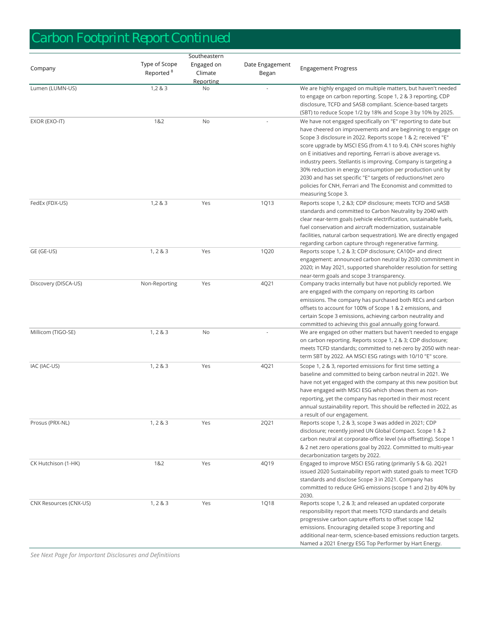# *Carbon Footprint Report Continued*

|                        | Southeastern                           |                                    |                          |                                                                                                                                                                                                                                                                                                                                                                                                                                                                                                                                                                                                                        |  |  |
|------------------------|----------------------------------------|------------------------------------|--------------------------|------------------------------------------------------------------------------------------------------------------------------------------------------------------------------------------------------------------------------------------------------------------------------------------------------------------------------------------------------------------------------------------------------------------------------------------------------------------------------------------------------------------------------------------------------------------------------------------------------------------------|--|--|
| Company                | Type of Scope<br>Reported <sup>8</sup> | Engaged on<br>Climate<br>Reporting | Date Engagement<br>Began | <b>Engagement Progress</b>                                                                                                                                                                                                                                                                                                                                                                                                                                                                                                                                                                                             |  |  |
| Lumen (LUMN-US)        | 1,283                                  | No                                 | ÷.                       | We are highly engaged on multiple matters, but haven't needed<br>to engage on carbon reporting. Scope 1, 2 & 3 reporting, CDP<br>disclosure, TCFD and SASB compliant. Science-based targets<br>(SBT) to reduce Scope 1/2 by 18% and Scope 3 by 10% by 2025.                                                                                                                                                                                                                                                                                                                                                            |  |  |
| EXOR (EXO-IT)          | 1&2                                    | No                                 |                          | We have not engaged specifically on "E" reporting to date but<br>have cheered on improvements and are beginning to engage on<br>Scope 3 disclosure in 2022. Reports scope 1 & 2; received "E"<br>score upgrade by MSCI ESG (from 4.1 to 9.4). CNH scores highly<br>on E initiatives and reporting, Ferrari is above average vs.<br>industry peers. Stellantis is improving. Company is targeting a<br>30% reduction in energy consumption per production unit by<br>2030 and has set specific "E" targets of reductions/net zero<br>policies for CNH, Ferrari and The Economist and committed to<br>measuring Scope 3. |  |  |
| FedEx (FDX-US)         | 1,283                                  | Yes                                | 1Q13                     | Reports scope 1, 2 &3; CDP disclosure; meets TCFD and SASB<br>standards and committed to Carbon Neutrality by 2040 with<br>clear near-term goals (vehicle electrification, sustainable fuels,<br>fuel conservation and aircraft modernization, sustainable<br>facilities, natural carbon sequestration). We are directly engaged<br>regarding carbon capture through regenerative farming.                                                                                                                                                                                                                             |  |  |
| GE (GE-US)             | 1, 2 & 3                               | Yes                                | 1Q20                     | Reports scope 1, 2 & 3; CDP disclosure; CA100+ and direct<br>engagement: announced carbon neutral by 2030 commitment in<br>2020; in May 2021, supported shareholder resolution for setting<br>near-term goals and scope 3 transparency.                                                                                                                                                                                                                                                                                                                                                                                |  |  |
| Discovery (DISCA-US)   | Non-Reporting                          | Yes                                | 4Q21                     | Company tracks internally but have not publicly reported. We<br>are engaged with the company on reporting its carbon<br>emissions. The company has purchased both RECs and carbon<br>offsets to account for 100% of Scope 1 & 2 emissions, and<br>certain Scope 3 emissions, achieving carbon neutrality and<br>committed to achieving this goal annually going forward.                                                                                                                                                                                                                                               |  |  |
| Millicom (TIGO-SE)     | 1, 2 & 3                               | No                                 |                          | We are engaged on other matters but haven't needed to engage<br>on carbon reporting. Reports scope 1, 2 & 3; CDP disclosure;<br>meets TCFD standards; committed to net-zero by 2050 with near-<br>term SBT by 2022. AA MSCI ESG ratings with 10/10 "E" score.                                                                                                                                                                                                                                                                                                                                                          |  |  |
| IAC (IAC-US)           | 1, 2 & 3                               | Yes                                | 4Q21                     | Scope 1, 2 & 3, reported emissions for first time setting a<br>baseline and committed to being carbon neutral in 2021. We<br>have not yet engaged with the company at this new position but<br>have engaged with MSCI ESG which shows them as non-<br>reporting, yet the company has reported in their most recent<br>annual sustainability report. This should be reflected in 2022, as<br>a result of our engagement.                                                                                                                                                                                                |  |  |
| Prosus (PRX-NL)        | 1, 2 & 3                               | Yes                                | 2Q21                     | Reports scope 1, 2 & 3, scope 3 was added in 2021; CDP<br>disclosure; recently joined UN Global Compact. Scope 1 & 2<br>carbon neutral at corporate-office level (via offsetting). Scope 1<br>& 2 net zero operations goal by 2022. Committed to multi-year<br>decarbonization targets by 2022.                                                                                                                                                                                                                                                                                                                        |  |  |
| CK Hutchison (1-HK)    | 1&2                                    | Yes                                | 4Q19                     | Engaged to improve MSCI ESG rating (primarily S & G). 2Q21<br>issued 2020 Sustainability report with stated goals to meet TCFD<br>standards and disclose Scope 3 in 2021. Company has<br>committed to reduce GHG emissions (scope 1 and 2) by 40% by<br>2030.                                                                                                                                                                                                                                                                                                                                                          |  |  |
| CNX Resources (CNX-US) | 1, 2 & 3                               | Yes                                | <b>1Q18</b>              | Reports scope 1, 2 & 3; and released an updated corporate<br>responsibility report that meets TCFD standards and details<br>progressive carbon capture efforts to offset scope 1&2<br>emissions. Encouraging detailed scope 3 reporting and<br>additional near-term, science-based emissions reduction targets.<br>Named a 2021 Energy ESG Top Performer by Hart Energy.                                                                                                                                                                                                                                               |  |  |

*See Next Page for Important Disclosures and Definitiions*